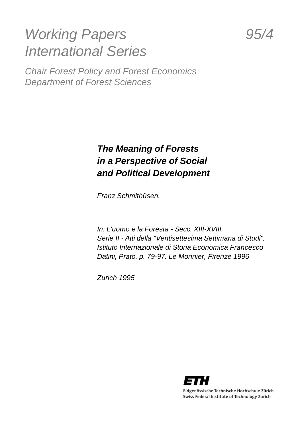# *Working Papers 95/4 International Series*

*Chair Forest Policy and Forest Economics Department of Forest Sciences*

## *The Meaning of Forests in a Perspective of Social and Political Development*

*Franz Schmithüsen.*

*In: L'uomo e la Foresta - Secc. XIII-XVIII. Serie II - Atti della "Ventisettesima Settimana di Studi". Istituto Internazionale di Storia Economica Francesco Datini, Prato, p. 79-97. Le Monnier, Firenze 1996*

*Zurich 1995*



Eidgenössische Technische Hochschule Zürich Swiss Federal Institute of Technology Zurich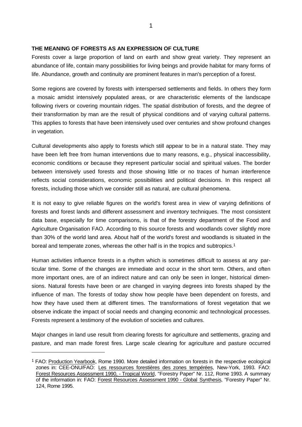### **THE MEANING OF FORESTS AS AN EXPRESSION OF CULTURE**

Forests cover a large proportion of land on earth and show great variety. They represent an abundance of life, contain many possibilities for living beings and provide habitat for many forms of life. Abundance, growth and continuity are prominent features in man's perception of a forest.

Some regions are covered by forests with interspersed settlements and fields. In others they form a mosaic amidst intensively populated areas, or are characteristic elements of the landscape following rivers or covering mountain ridges. The spatial distribution of forests, and the degree of their transformation by man are the result of physical conditions and of varying cultural patterns. This applies to forests that have been intensively used over centuries and show profound changes in vegetation.

Cultural developments also apply to forests which still appear to be in a natural state. They may have been left free from human interventions due to many reasons, e.g., physical inaccessibility, economic conditions or because they represent particular social and spiritual values. The border between intensively used forests and those showing little or no traces of human interference reflects social considerations, economic possibilities and political decisions. In this respect all forests, including those which we consider still as natural, are cultural phenomena.

It is not easy to give reliable figures on the world's forest area in view of varying definitions of forests and forest lands and different assessment and inventory techniques. The most consistent data base, especially for time comparisons, is that of the forestry department of the Food and Agriculture Organisation FAO. According to this source forests and woodlands cover slightly more than 30% of the world land area. About half of the world's forest and woodlands is situated in the boreal and temperate zones, whereas the other half is in the tropics and subtropics.<sup>1</sup>

Human activities influence forests in a rhythm which is sometimes difficult to assess at any particular time. Some of the changes are immediate and occur in the short term. Others, and often more important ones, are of an indirect nature and can only be seen in longer, historical dimensions. Natural forests have been or are changed in varying degrees into forests shaped by the influence of man. The forests of today show how people have been dependent on forests, and how they have used them at different times. The transformations of forest vegetation that we observe indicate the impact of social needs and changing economic and technological processes. Forests represent a testimony of the evolution of societies and cultures.

Major changes in land use result from clearing forests for agriculture and settlements, grazing and pasture, and man made forest fires. Large scale clearing for agriculture and pasture occurred

<sup>1</sup> FAO: Production Yearbook, Rome 1990. More detailed information on forests in the respective ecological zones in: CEE-ONU/FAO: Les ressources forestières des zones tempérées, New-York, 1993. FAO: Forest Resources Assessment 1990, - Tropical World, "Forestry Paper" Nr. 112, Rome 1993. A summary of the information in: FAO: Forest Resources Assessment 1990 - Global Synthesis, "Forestry Paper" Nr. 124, Rome 1995.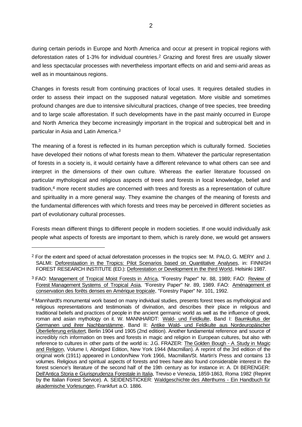during certain periods in Europe and North America and occur at present in tropical regions with deforestation rates of 1-3% for individual countries.2 Grazing and forest fires are usually slower and less spectacular processes with nevertheless important effects on arid and semi-arid areas as well as in mountainous regions.

Changes in forests result from continuing practices of local uses. It requires detailed studies in order to assess their impact on the supposed natural vegetation. More visible and sometimes profound changes are due to intensive silvicultural practices, change of tree species, tree breeding and to large scale afforestation. If such developments have in the past mainly occurred in Europe and North America they become increasingly important in the tropical and subtropical belt and in particular in Asia and Latin America.<sup>3</sup>

The meaning of a forest is reflected in its human perception which is culturally formed. Societies have developed their notions of what forests mean to them. Whatever the particular representation of forests in a society is, it would certainly have a different relevance to what others can see and interpret in the dimensions of their own culture. Whereas the earlier literature focussed on particular mythological and religious aspects of trees and forests in local knowledge, belief and tradition,4 more recent studies are concerned with trees and forests as a representation of culture and spirituality in a more general way. They examine the changes of the meaning of forests and the fundamental differences with which forests and trees may be perceived in different societies as part of evolutionary cultural processes.

Forests mean different things to different people in modern societies. If one would individually ask people what aspects of forests are important to them, which is rarely done, we would get answers

<sup>2</sup> For the extent and speed of actual deforestation processes in the tropics see: M. PALO, G. MERY and J. SALMI: Deforestaation in the Tropics: Pilot Scenarios based on Quantitative Analyses, in: FINNISH FOREST RESEARCH INSTITUTE (ED.): Deforestation or Development in the third World, Helsinki 1987.

<sup>3</sup> FAO: Management of Tropical Moist Forests in Africa, "Forestry Paper" Nr. 88, 1989; FAO: Review of Forest Management Systems of Tropical Asia, "Forestry Paper" Nr. 89, 1989. FAO: Aménagement et conservation des forêts denses en Amérique tropicale, "Forestry Paper" Nr. 101, 1992.

<sup>4</sup> Mannhardt's monumental work based on many individual studies, presents forest trees as mythological and religious representations and testimonials of divination, and describes their place in religious and traditional beliefs and practices of people in the ancient germanic world as well as the influence of greek, roman and asian mythology on it. W. MANNHARDT: Wald- und Feldkulte, Band I: Baumkultus der Germanen und ihrer Nachbarstämme, Band II: Antike Wald- und Feldkulte aus Nordeuropäischer Überlieferung erläutert, Berlin 1904 und 1905 (2nd edition). Another fundamental reference and source of incredibly rich information on trees and forests in magic and religion in European cultures, but also with reference to cultures in other parts of the world is: J.G. FRAZER: The Golden Bough - A Study in Magic and Religion, Volume I, Abridged Edition, New York 1944 (Macmillan). A reprint of the 3rd edition of the original work (1911) appeared in London/New York 1966, Macmillan/St. Martin's Press and contains 13 volumes. Religious and spiritual aspects of forests and trees have also found considerable interest in the forest science's literature of the second half of the 19th century as for instance in: A. DI BERENGER: Dell'Antica Storia e Giurisprudenza Forestale in Italia, Treviso e Venezia, 1859-1863, Roma 1982 (Reprint by the Italian Forest Service). A. SEIDENSTICKER: Waldgeschichte des Alterthums - Ein Handbuch für akademische Vorlesungen, Frankfurt a.O. 1886.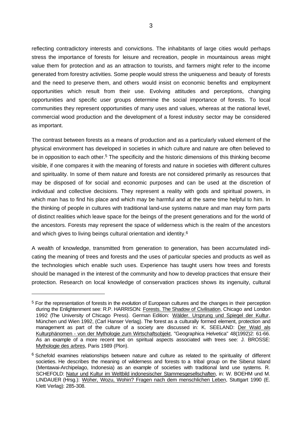reflecting contradictory interests and convictions. The inhabitants of large cities would perhaps stress the importance of forests for leisure and recreation, people in mountainous areas might value them for protection and as an attraction to tourists, and farmers might refer to the income generated from forestry activities. Some people would stress the uniqueness and beauty of forests and the need to preserve them, and others would insist on economic benefits and employment opportunities which result from their use. Evolving attitudes and perceptions, changing opportunities and specific user groups determine the social importance of forests. To local communities they represent opportunities of many uses and values, whereas at the national level, commercial wood production and the development of a forest industry sector may be considered as important.

The contrast between forests as a means of production and as a particularly valued element of the physical environment has developed in societies in which culture and nature are often believed to be in opposition to each other.<sup>5</sup> The specificity and the historic dimensions of this thinking become visible, if one compares it with the meaning of forests and nature in societies with different cultures and spirituality. In some of them nature and forests are not considered primarily as resources that may be disposed of for social and economic purposes and can be used at the discretion of individual and collective decisions. They represent a reality with gods and spiritual powers, in which man has to find his place and which may be harmful and at the same time helpful to him. In the thinking of people in cultures with traditional land-use systems nature and man may form parts of distinct realities which leave space for the beings of the present generations and for the world of the ancestors. Forests may represent the space of wilderness which is the realm of the ancestors and which gives to living beings cultural orientation and identity.<sup>6</sup>

A wealth of knowledge, transmitted from generation to generation, has been accumulated indicating the meaning of trees and forests and the uses of particular species and products as well as the technologies which enable such uses. Experience has taught users how trees and forests should be managed in the interest of the community and how to develop practices that ensure their protection. Research on local knowledge of conservation practices shows its ingenuity, cultural

<sup>5</sup> For the representation of forests in the evolution of European cultures and the changes in their perception during the Enlightenment see: R.P. HARRISON: Forests. The Shadow of Civilisation, Chicago and London 1992 (The University of Chicago Press). German Edition: Wälder. Ursprung und Spiegel der Kultur, München und Wien 1992, (Carl Hanser Verlag). The forest as a culturally formed element, protection and management as part of the culture of a society are discussed in: K. SEELAND: Der Wald als Kulturphänomen - von der Mythologie zum Wirtschaftsobjekt, "Geographica Helvetica" 48(1992)2: 61-66. As an example of a more recent text on spiritual aspects associated with trees see: J. BROSSE: Mythologie des arbres, Paris 1989 (Plon).

<sup>6</sup> Schefold examines relationships between nature and culture as related to the spirituality of different societies. He describes the meaning of wilderness and forests to a tribal group on the Siberut Island (Mentawai-Archipelago, Indonesia) as an example of societies with traditional land use systems. R. SCHEFOLD: Natur und Kultur im Weltbild indonesischer Stammesgesellschaften, in: W. BOEHM und M. LINDAUER (Hrsg.): Woher, Wozu, Wohin? Fragen nach dem menschlichen Leben, Stuttgart 1990 (E. Klett Verlag): 285-308.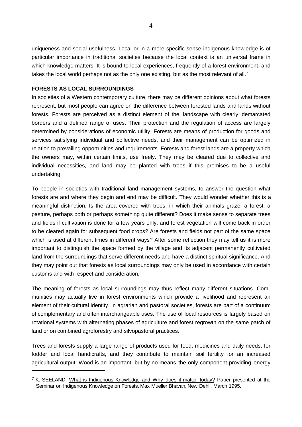uniqueness and social usefulness. Local or in a more specific sense indigenous knowledge is of particular importance in traditional societies because the local context is an universal frame in which knowledge matters. It is bound to local experiences, frequently of a forest environment, and takes the local world perhaps not as the only one existing, but as the most relevant of all.<sup>7</sup>

#### **FORESTS AS LOCAL SURROUNDINGS**

l

In societies of a Western contemporary culture, there may be different opinions about what forests represent, but most people can agree on the difference between forested lands and lands without forests. Forests are perceived as a distinct element of the landscape with clearly demarcated borders and a defined range of uses. Their protection and the regulation of access are largely determined by considerations of economic utility. Forests are means of production for goods and services satisfying individual and collective needs, and their management can be optimized in relation to prevailing opportunities and requirements. Forests and forest lands are a property which the owners may, within certain limits, use freely. They may be cleared due to collective and individual necessities, and land may be planted with trees if this promises to be a useful undertaking.

To people in societies with traditional land management systems, to answer the question what forests are and where they begin and end may be difficult. They would wonder whether this is a meaningful distinction. Is the area covered with trees, in which their animals graze, a forest, a pasture, perhaps both or perhaps something quite different? Does it make sense to separate trees and fields if cultivation is done for a few years only, and forest vegetation will come back in order to be cleared again for subsequent food crops? Are forests and fields not part of the same space which is used at different times in different ways? After some reflection they may tell us it is more important to distinguish the space formed by the village and its adjacent permanently cultivated land from the surroundings that serve different needs and have a distinct spiritual significance. And they may point out that forests as local surroundings may only be used in accordance with certain customs and with respect and consideration.

The meaning of forests as local surroundings may thus reflect many different situations. Communities may actually live in forest environments which provide a livelihood and represent an element of their cultural identity. In agrarian and pastoral societies, forests are part of a continuum of complementary and often interchangeable uses. The use of local resources is largely based on rotational systems with alternating phases of agriculture and forest regrowth on the same patch of land or on combined agroforestry and silvopastoral practices.

Trees and forests supply a large range of products used for food, medicines and daily needs, for fodder and local handicrafts, and they contribute to maintain soil fertility for an increased agricultural output. Wood is an important, but by no means the only component providing energy

 $7$  K. SEELAND: What is Indigenous Knowledge and Why does it matter today? Paper presented at the Seminar on Indigenous Knowledge on Forests. Max Mueller Bhavan, New Dehli, March 1995.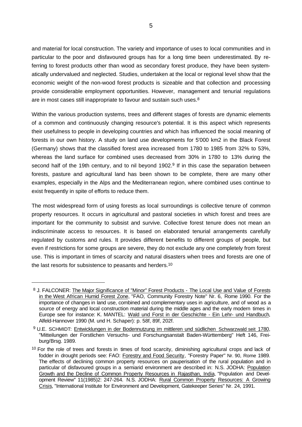and material for local construction. The variety and importance of uses to local communities and in particular to the poor and disfavoured groups has for a long time been underestimated. By referring to forest products other than wood as secondary forest produce, they have been systematically undervalued and neglected. Studies, undertaken at the local or regional level show that the economic weight of the non-wood forest products is sizeable and that collection and processing provide considerable employment opportunities. However, management and tenurial regulations are in most cases still inappropriate to favour and sustain such uses.<sup>8</sup>

Within the various production systems, trees and different stages of forests are dynamic elements of a common and continuously changing resource's potential. It is this aspect which represents their usefulness to people in developing countries and which has influenced the social meaning of forests in our own history. A study on land use developments for 5'000 km2 in the Black Forest (Germany) shows that the classified forest area increased from 1780 to 1985 from 32% to 53%, whereas the land surface for combined uses decreased from 30% in 1780 to 13% during the second half of the 19th century, and to nil beyond 1902.<sup>9</sup> If in this case the separation between forests, pasture and agricultural land has been shown to be complete, there are many other examples, especially in the Alps and the Mediterranean region, where combined uses continue to exist frequently in spite of efforts to reduce them.

The most widespread form of using forests as local surroundings is collective tenure of common property resources. It occurs in agricultural and pastoral societies in which forest and trees are important for the community to subsist and survive. Collective forest tenure does not mean an indiscriminate access to resources. It is based on elaborated tenurial arrangements carefully regulated by customs and rules. It provides different benefits to different groups of people, but even if restrictions for some groups are severe, they do not exclude any one completely from forest use. This is important in times of scarcity and natural disasters when trees and forests are one of the last resorts for subsistence to peasants and herders.<sup>10</sup>

<sup>8</sup> J. FALCONER: The Major Significance of "Minor" Forest Products - The Local Use and Value of Forests in the West African Humid Forest Zone, "FAO, Community Forestry Note" Nr. 6, Rome 1990. For the importance of changes in land use, combined and complementary uses in agriculture, and of wood as a source of energy and local construction material during the middle ages and the early modern times in Europe see for instance: K. MANTEL: Wald und Forst in der Geschichte - Ein Lehr- und Handbuch, Alfeld-Hannover 1990 (M. und H. Schaper): p. 58f, 89f, 202f.

<sup>9</sup> U.E. SCHMIDT: Entwicklungen in der Bodennutzung im mittleren und südlichen Schwarzwald seit 1780, "Mitteilungen der Forstlichen Versuchs- und Forschungsanstalt Baden-Württemberg" Heft 146, Freiburg/Brsg. 1989.

<sup>&</sup>lt;sup>10</sup> For the role of trees and forests in times of food scarcity, diminishing agricultural crops and lack of fodder in drought periods see: FAO: Forestry and Food Security, "Forestry Paper" Nr. 90, Rome 1989. The effects of declining common property resources on pauperisation of the rural population and in particular of disfavoured groups in a semiarid environment are described in: N.S. JODHA: Population Growth and the Decline of Common Property Resources in Rajasthan, India, "Population and Development Review" 11(1985)2: 247-264. N.S. JODHA: Rural Common Property Resources: A Growing Crisis, "International Institute for Environment and Development, Gatekeeper Series" Nr. 24, 1991.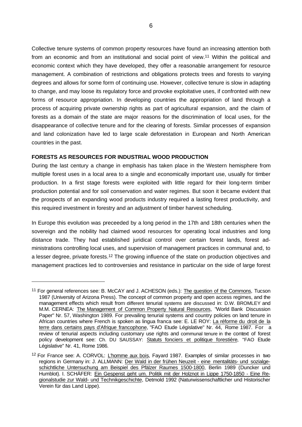Collective tenure systems of common property resources have found an increasing attention both from an economic and from an institutional and social point of view.11 Within the political and economic context which they have developed, they offer a reasonable arrangement for resource management. A combination of restrictions and obligations protects trees and forests to varying degrees and allows for some form of continuing use. However, collective tenure is slow in adapting to change, and may loose its regulatory force and provoke exploitative uses, if confronted with new forms of resource appropriation. In developing countries the appropriation of land through a process of acquiring private ownership rights as part of agricultural expansion, and the claim of forests as a domain of the state are major reasons for the discrimination of local uses, for the disappearance of collective tenure and for the clearing of forests. Similar processes of expansion and land colonization have led to large scale deforestation in European and North American countries in the past.

### **FORESTS AS RESOURCES FOR INDUSTRIAL WOOD PRODUCTION**

l

During the last century a change in emphasis has taken place in the Western hemisphere from multiple forest uses in a local area to a single and economically important use, usually for timber production. In a first stage forests were exploited with little regard for their long-term timber production potential and for soil conservation and water regimes. But soon it became evident that the prospects of an expanding wood products industry required a lasting forest productivity, and this required investment in forestry and an adjustment of timber harvest scheduling.

In Europe this evolution was preceeded by a long period in the 17th and 18th centuries when the sovereign and the nobility had claimed wood resources for operating local industries and long distance trade. They had established juridical control over certain forest lands, forest administrations controlling local uses, and supervision of management practices in communal and, to a lesser degree, private forests.<sup>12</sup> The growing influence of the state on production objectives and management practices led to controversies and resistance in particular on the side of large forest

<sup>&</sup>lt;sup>11</sup> For general references see: B. McCAY and J. ACHESON (eds.): The question of the Commons, Tucson 1987 (University of Arizona Press). The concept of common property and open access regimes, and the management effects which result from different tenurial systems are discussed in: D.W. BROMLEY and M.M. CERNEA: The Management of Common Property Natural Resources, "World Bank Discussion Paper" Nr. 57, Washington 1989. For prevailing tenurial systems and country policies on land tenure in African countries where French is spoken as lingua franca see: E. LE ROY: La réforme du droit de la terre dans certains pays d'Afrique francophone, "FAO Etude Législative" Nr. 44, Rome 1987. For a review of tenurial aspects including customary use rights and communal tenure in the context of forest policy development see: Ch. DU SAUSSAY: Statuts fonciers et politique forestière, "FAO Etude Législative" Nr. 41, Rome 1986.

<sup>&</sup>lt;sup>12</sup> For France see: A. CORVOL: L'homme aux bois, Fayard 1987. Examples of similar processes in two regions in Germany in: J. ALLMANN: Der Wald in der frühen Neuzeit - eine mentalitäts- und sozialgeschichtliche Untersuchung am Beispiel des Pfälzer Raumes 1500-1800, Berlin 1989 (Duncker und Humblot). I. SCHÄFER: Ein Gespenst geht um. Politik mit der Holznot in Lippe 1750-1850 - Eine Regionalstudie zur Wald- und Technikgeschichte, Detmold 1992 (Naturwissenschaftlicher und Historischer Verein für das Land Lippe).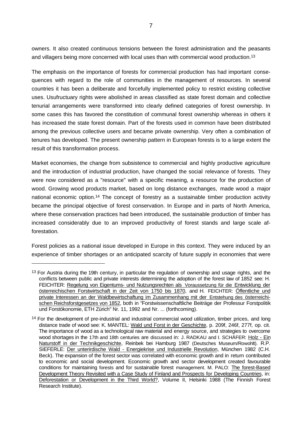owners. It also created continuous tensions between the forest administration and the peasants and villagers being more concerned with local uses than with commercial wood production.<sup>13</sup>

The emphasis on the importance of forests for commercial production has had important consequences with regard to the role of communities in the management of resources. In several countries it has been a deliberate and forcefully implemented policy to restrict existing collective uses. Usufructuary rights were abolished in areas classified as state forest domain and collective tenurial arrangements were transformed into clearly defined categories of forest ownership. In some cases this has favored the constitution of communal forest ownership whereas in others it has increased the state forest domain. Part of the forests used in common have been distributed among the previous collective users and became private ownership. Very often a combination of tenures has developed. The present ownership pattern in European forests is to a large extent the result of this transformation process.

Market economies, the change from subsistence to commercial and highly productive agriculture and the introduction of industrial production, have changed the social relevance of forests. They were now considered as a "resource" with a specific meaning, a resource for the production of wood. Growing wood products market, based on long distance exchanges, made wood a major national economic option.14 The concept of forestry as a sustainable timber production activity became the principal objective of forest conservation. In Europe and in parts of North America, where these conservation practices had been introduced, the sustainable production of timber has increased considerably due to an improved productivity of forest stands and large scale afforestation.

Forest policies as a national issue developed in Europe in this context. They were induced by an experience of timber shortages or an anticipated scarcity of future supply in economies that were

<sup>&</sup>lt;sup>13</sup> For Austria during the 19th century, in particular the regulation of ownership and usage rights, and the conflicts between public and private interests determining the adoption of the forest law of 1852 see: H. FEICHTER: Regelung von Eigentums- und Nutzungsrechten als Voraussetzung für die Entwicklung der österreichischen Forstwirtschaft in der Zeit von 1750 bis 1870, and H. FEICHTER: Öffentliche und private Interessen an der Waldbewirtschaftung im Zusammenhang mit der Entstehung des österreichischen Reichsforstgesetzes von 1852, both in "Forstwissenschaftliche Beiträge der Professur Forstpolitik und Forstökonomie, ETH Zürich" Nr. 11, 1992 and Nr. ... (forthcoming).

<sup>14</sup> For the development of pre-industrial and industrial commercial wood utilization, timber prices, and long distance trade of wood see: K. MANTEL: Wald und Forst in der Geschichte, p. 209f, 246f, 277f, op. cit. The importance of wood as a technological raw material and energy source, and strategies to overcome wood shortages in the 17th and 18th centuries are discussed in: J. RADKAU and I. SCHÄFER: Holz - Ein Naturstoff in der Technikgeschichte, Reinbek bei Hamburg 1987 (Deutsches Museum/Rowohlt). R.P. SIEFERLE: Der unterirdische Wald - Energiekrise und Industrielle Revolution, München 1982 (C.H. Beck). The expansion of the forest sector was correlated with economic growth and in return contributed to economic and social development. Economic growth and sector development created favourable conditions for maintaining forests and for sustainable forest management. M. PALO: The forest-Based Development Theory Revisited with a Case Study of Finland and Prospects for Developing Countries, in: Deforestation or Development in the Third World?, Volume II, Helsinki 1988 (The Finnish Forest Research Institute).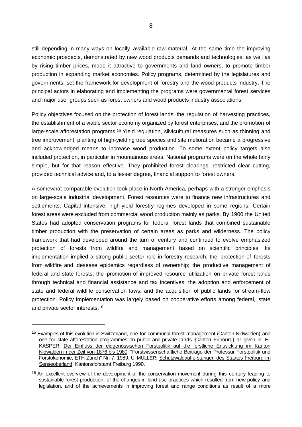still depending in many ways on locally available raw material. At the same time the improving economic prospects, demonstrated by new wood products demands and technologies, as well as by rising timber prices, made it attractive to governments and land owners, to promote timber production in expanding market economies. Policy programs, determined by the legislatures and governments, set the framework for development of forestry and the wood products industry. The principal actors in elaborating and implementing the programs were governmental forest services and major user groups such as forest owners and wood products industry associations.

Policy objectives focused on the protection of forest lands, the regulation of harvesting practices, the establishment of a viable sector economy organized by forest enterprises, and the promotion of large-scale afforestation programs.15 Yield regulation, silvicultural measures such as thinning and tree improvement, planting of high-yielding tree species and site melioration became a progressive and acknowledged means to increase wood production. To some extent policy targets also included protection, in particular in mountainous areas. National programs were on the whole fairly simple, but for that reason effective. They prohibited forest clearings, restricted clear cutting, provided technical advice and, to a lesser degree, financial support to forest owners.

A somewhat comparable evolution took place in North America, perhaps with a stronger emphasis on large-scale industrial development. Forest resources were to finance new infrastructures and settlements. Capital intensive, high-yield forestry regimes developed in some regions. Certain forest areas were excluded from commercial wood production mainly as parks. By 1900 the United States had adopted conservation programs for federal forest lands that combined sustainable timber production with the preservation of certain areas as parks and wilderness. The policy framework that had developed around the turn of century and continued to evolve emphasized protection of forests from wildfire and management based on scientific principles. Its implementation implied a strong public sector role in forestry research; the protection of forests from wildfire and desease epidemics regardless of ownership; the productive management of federal and state forests; the promotion of improved resource utilization on private forest lands through technical and financial assistance and tax incentives; the adoption and enforcement of state and federal wildlife conservation laws; and the acquisition of public lands for stream-flow protection. Policy implementation was largely based on cooperative efforts among federal, state and private sector interests.<sup>16</sup>

<sup>&</sup>lt;sup>15</sup> Examples of this evolution in Switzerland, one for communal forest management (Canton Nidwalden) and one for state afforestation programmes on public and private lands (Canton Fribourg) ar given in: H. KASPER: Der Einfluss der eidgenössischen Forstpolitik auf die forstliche Entwicklung im Kanton Nidwalden in der Zeit von 1876 bis 1980. "Forstwissenschaftliche Beiträge der Professur Forstpolitik und Forstökonomie, ETH Zürich" Nr. 7, 1989. U. MÜLLER: Schutzwaldaufforstungen des Staates Freiburg im Senseoberland, Kantonsforstamt Freiburg 1990.

<sup>&</sup>lt;sup>16</sup> An excellent overview of the development of the conservation movement during this century leading to sustainable forest production, of the changes in land use practices which resulted from new policy and legislation, and of the achievements in improving forest and range conditions as result of a more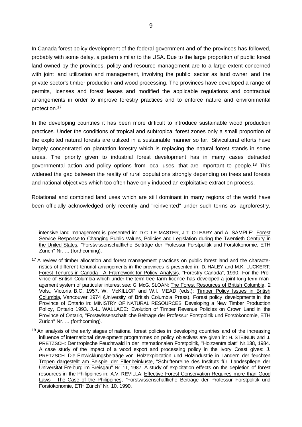In Canada forest policy development of the federal government and of the provinces has followed, probably with some delay, a pattern similar to the USA. Due to the large proportion of public forest land owned by the provinces, policy and resource management are to a large extent concerned with joint land utilization and management, involving the public sector as land owner and the private sector's timber production and wood processing. The provinces have developed a range of permits, licenses and forest leases and modified the applicable regulations and contractual arrangements in order to improve forestry practices and to enforce nature and environmental protection.<sup>17</sup>

In the developing countries it has been more difficult to introduce sustainable wood production practices. Under the conditions of tropical and subtropical forest zones only a small proportion of the exploited natural forests are utilized in a sustainable manner so far. Silvicultural efforts have largely concentrated on plantation forestry which is replacing the natural forest stands in some areas. The priority given to industrial forest development has in many cases detracted governmental action and policy options from local uses, that are important to people.18 This widened the gap between the reality of rural populations strongly depending on trees and forests and national objectives which too often have only induced an exploitative extraction process.

Rotational and combined land uses which are still dominant in many regions of the world have been officially acknowledged only recently and "reinvented" under such terms as agroforestry,

intensive land management is presented in: D.C. LE MASTER, J.T. O'LEARY and A. SAMPLE: Forest Service Response to Changing Public Values, Policies and Legislation during the Twentieth Century in the United States, "Forstwissenschaftliche Beiträge der Professur Forstpolitik und Forstökonomie, ETH Zürich" Nr. ... (forthcoming).

<sup>&</sup>lt;sup>17</sup> A review of timber allocation and forest management practices on public forest land and the characteristics of different tenurial arrangements in the provinces is presented in: D. HALEY and M.K. LUCKERT: Forest Tenures in Canada - A Framework for Policy Analysis, "Forestry Canada", 1990. For the Province of British Columbia which under the term tree farm licence has developed a joint long term management system of particular interest see: G. McG. SLOAN: The Forest Resources of British Columbia, 2 Vols., Victoria B.C. 1957. W. McKILLOP and W.I. MEAD (eds.): Timber Policy Issues in British Columbia, Vancouver 1974 (University of British Columbia Press). Forest policy developments in the Province of Ontario in: MINISTRY OF NATURAL RESOURCES: Developing a New Timber Production Policy, Ontario 1993. J.-L. WALLACE: Evolution of Timber Revenue Policies on Crown Land in the Province of Ontario, "Forstwissenschaftliche Beiträge der Professur Forstpolitik und Forstökonomie, ETH Zürich" Nr. ... (forthcoming).

<sup>&</sup>lt;sup>18</sup> An analysis of the early stages of national forest policies in developing countries and of the increasing influence of international development programmes on policy objectives are given in: H. STEINLIN and J. PRETZSCH: Der tropische Feuchtwald in der internationalen Forstpolitik, "Holzzentralblatt" Nr.138, 1984. A case study of the impact of a wood export and processing policy in the Ivory Coast gives: J. PRETZSCH: Die Entwicklungsbeiträge von Holzexploitation und Holzindustrie in Ländern der feuchten Tropen dargestellt am Beispiel der Elfenbeinküste, "Schriftenreihe des Instituts für Landespflege der Universität Freiburg im Breisgau" Nr. 11, 1987. A study of exploitation effects on the depletion of forest resources in the Philippines in: A.V. REVILLA: Effective Forest Conservation Requires more than Good Laws - The Case of the Philippines, "Forstwissenschaftliche Beiträge der Professur Forstpolitik und Forstökonomie, ETH Zürich" Nr. 10, 1990.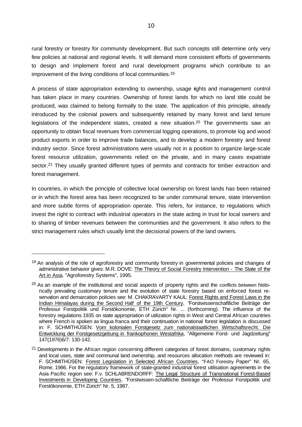rural forestry or forestry for community development. But such concepts still determine only very few policies at national and regional levels. It will demand more consistent efforts of governments to design and implement forest and rural development programs which contribute to an improvement of the living conditions of local communities.<sup>19</sup>

A process of state appropriation extending to ownership, usage rights and management control has taken place in many countries. Ownership of forest lands for which no land title could be produced, was claimed to belong formally to the state. The application of this principle, already introduced by the colonial powers and subsequently retained by many forest and land tenure legislations of the independent states, created a new situation.<sup>20</sup> The governments saw an opportunity to obtain fiscal revenues from commercial logging operations, to promote log and wood product exports in order to improve trade balances, and to develop a modern forestry and forest industry sector. Since forest administrations were usually not in a position to organize large-scale forest resource utilization, governments relied on the private, and in many cases expatriate sector.<sup>21</sup> They usually granted different types of permits and contracts for timber extraction and forest management.

In countries, in which the principle of collective local ownership on forest lands has been retained or in which the forest area has been recognized to be under communal tenure, state intervention and more subtle forms of appropriation operate. This refers, for instance, to regulations which invest the right to contract with industrial operators in the state acting in trust for local owners and to sharing of timber revenues between the communities and the government. It also refers to the strict management rules which usually limit the decisional powers of the land owners.

<sup>&</sup>lt;sup>19</sup> An analysis of the role of agroforestry and community forestry in governmental policies and changes of administrative behavior gives: M.R. DOVE: The Theory of Social Forestry Intervention - The State of the Art in Asia, "Agroforestry Systems", 1995.

<sup>&</sup>lt;sup>20</sup> As an example of the institutional and social aspects of property rights and the conflicts between historically prevailing customary tenure and the evolution of state forestry based on enforced forest reservation and demarcation policies see: M. CHAKRAVARTY KAUL: Forest Rights and Forest Laws in the Indian Himalayas during the Second Half of the 19th Century, "Forstwissenschaftliche Beiträge der Professur Forstpolitik und Forstökonomie, ETH Zürich" Nr. ... (forthcoming). The influence of the forestry regulations 1935 on state appropriation of utilization rights in West and Central African countries where French is spoken as lingua franca and their continuation in national forest legislation is discussed in: F. SCHMITHÜSEN: Vom kolonialen Forstgesetz zum nationalstaatlichen Wirtschaftsrecht. Die Entwicklung der Forstgesetzgebung in frankophonen Westafrika, "Allgemeine Forst- und Jagdzeitung" 147(1976)6/7: 130-142.

<sup>&</sup>lt;sup>21</sup> Developments in the African region concerning different categories of forest domains, customary rights and local uses, state and communal land ownership, and resources allocation methods are reviewed in: F. SCHMITHÜSEN: Forest Legislation in Selected African Countries, "FAO Forestry Paper" Nr. 65, Rome, 1986. For the regulatory framework of state-granted industrial forest utilisation agreements in the Asia Pacific region see: F.v. SCHLABRENDORFF: The Legal Structure of Transnational Forest-Based Investments in Developing Countries, "Forstwissen-schaftliche Beiträge der Professur Forstpolitik und Forstökonomie, ETH Zürich" Nr. 5, 1987.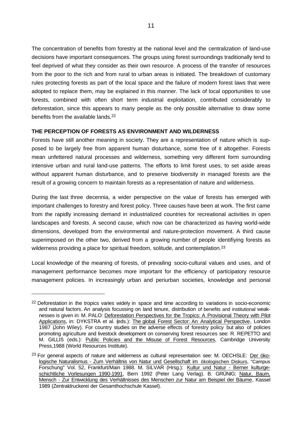The concentration of benefits from forestry at the national level and the centralization of land-use decisions have important consequences. The groups using forest surroundings traditionally tend to feel deprived of what they consider as their own resource. A process of the transfer of resources from the poor to the rich and from rural to urban areas is initiated. The breakdown of customary rules protecting forests as part of the local space and the failure of modern forest laws that were adopted to replace them, may be explained in this manner. The lack of local opportunities to use forests, combined with often short term industrial exploitation, contributed considerably to deforestation, since this appears to many people as the only possible alternative to draw some benefits from the available lands.<sup>22</sup>

### **THE PERCEPTION OF FORESTS AS ENVIRONMENT AND WILDERNESS**

Forests have still another meaning in society. They are a representation of nature which is supposed to be largely free from apparent human disturbance, some free of it altogether. Forests mean unfettered natural processes and wilderness, something very different form surrounding intensive urban and rural land-use patterns. The efforts to limit forest uses, to set aside areas without apparent human disturbance, and to preserve biodiversity in managed forests are the result of a growing concern to maintain forests as a representation of nature and wilderness.

During the last three decennia, a wider perspective on the value of forests has emerged with important challenges to forestry and forest policy. Three causes have been at work. The first came from the rapidly increasing demand in industrialized countries for recreational activities in open landscapes and forests. A second cause, which now can be characterized as having world-wide dimensions, developed from the environmental and nature-protection movement. A third cause superimposed on the other two, derived from a growing number of people identifiying forests as wilderness providing a place for spiritual freedom, solitude, and contemplation.<sup>23</sup>

Local knowledge of the meaning of forests, of prevailing socio-cultural values and uses, and of management performance becomes more important for the efficiency of participatory resource management policies. In increasingly urban and periurban societies, knowledge and personal

<sup>&</sup>lt;sup>22</sup> Deforestation in the tropics varies widely in space and time according to variations in socio-economic and natural factors. An analysis focussing on land tenure, distribution of benefits and institutional weaknesses is given in: M. PALO: Deforestation Perspectives for the Tropics: A Provisional Theory with Pilot Applications, in: DYKSTRA et al. (eds.): The global Forest Sector: An Analytical Perspective, London 1987 (John Wiley). For country studies on the adverse effects of forestry policy but also of policies promoting agriculture and livestock development on conserving forest resources see: R. REPETTO and M. GILLIS (eds.): Public Policies and the Misuse of Forest Resources, Cambridge University Press,1988 (World Resources Institute).

 $23$  For general aspects of nature and wilderness as cultural representation see: M. OECHSLE: Der ökologische Naturalismus - Zum Verhältnis von Natur und Gesellschaft im ökologischen Diskurs, "Campus Forschung" Vol. 52, Frankfurt/Main 1988. M. SILVAR (Hrsg.): Kultur und Natur - Berner kulturgeschichtliche Vorlesungen 1990-1991, Bern 1992 (Peter Lang Verlag). B. GRÜNIG: Natur, Baum, Mensch - Zur Entwicklung des Verhältnisses des Menschen zur Natur am Beispiel der Bäume, Kassel 1989 (Zentraldruckerei der Gesamthochschule Kassel).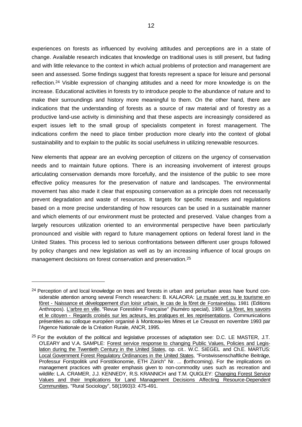experiences on forests as influenced by evolving attitudes and perceptions are in a state of change. Available research indicates that knowledge on traditional uses is still present, but fading and with little relevance to the context in which actual problems of protection and management are seen and assessed. Some findings suggest that forests represent a space for leisure and personal reflection.<sup>24</sup> Visible expression of changing attitudes and a need for more knowledge is on the increase. Educational activities in forests try to introduce people to the abundance of nature and to make their surroundings and history more meaningful to them. On the other hand, there are indications that the understanding of forests as a source of raw material and of forestry as a productive land-use activity is diminishing and that these aspects are increasingly considered as expert issues left to the small group of specialists competent in forest management. The indications confirm the need to place timber production more clearly into the context of global sustainability and to explain to the public its social usefulness in utilizing renewable resources.

New elements that appear are an evolving perception of citizens on the urgency of conservation needs and to maintain future options. There is an increasing involvement of interest groups articulating conservation demands more forcefully, and the insistence of the public to see more effective policy measures for the preservation of nature and landscapes. The environmental movement has also made it clear that espousing conservation as a principle does not necessarily prevent degradation and waste of resources. It targets for specific measures and regulations based on a more precise understanding of how resources can be used in a sustainable manner and which elements of our environment must be protected and preserved. Value changes from a largely resources utilization oriented to an environmental perspective have been particularly pronounced and visible with regard to future management options on federal forest land in the United States. This process led to serious confrontations between different user groups followed by policy changes and new legislation as well as by an increasing influence of local groups on management decisions on forest conservation and preservation.<sup>25</sup>

<sup>&</sup>lt;sup>24</sup> Perception of and local knowledge on trees and forests in urban and periurban areas have found considerable attention among several French researchers: B. KALAORA: Le musée vert ou le tourisme en fôret - Naissance et développement d'un loisir urbain, le cas de la fôret de Fontaineblau, 1981 (Editions Anthropos). L'arbre en ville, "Revue Forestière Française" (Numéro special), 1989. La fôret, les savoirs et le citoyen - Regards croisés sur les acteurs, les pratiques et les représentations, Communications présentées au colloque européen organisé à Montceau-les Mines et Le Creusot en novembre 1993 par l'Agence Nationale de la Création Rurale, ANCR, 1995.

<sup>&</sup>lt;sup>25</sup> For the evolution of the political and legislative processes of adaptation see: D.C. LE MASTER, J.T. O'LEARY and V.A. SAMPLE: Forest service response to changing Public Values, Policies and Legislation during the Twentieth Century in the United States, op. cit.. W.C. SIEGEL and Ch.E. MARTUS: Local Government Forest Regulatory Ordinances in the United States, "Forstwissenschaftliche Beiträge, Professur Forstpolitik und Forstökonomie, ETH Zürich" Nr. ... (forthcoming). For the implications on management practices with greater emphasis given to non-commodity uses such as recreation and wildlife: L.A. CRAMER, J.J. KENNEDY, R.S. KRANNICH and T.M. QUIGLEY: Changing Forest Service Values and their Implications for Land Management Decisions Affecting Resource-Dependent Communities, "Rural Sociology", 58(1993)3: 475-491.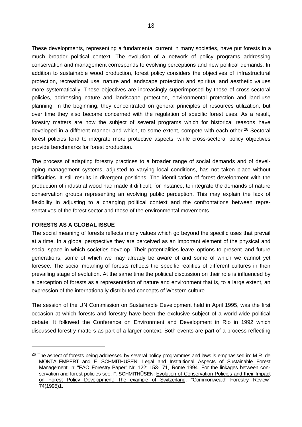These developments, representing a fundamental current in many societies, have put forests in a much broader political context. The evolution of a network of policy programs addressing conservation and management corresponds to evolving perceptions and new political demands. In addition to sustainable wood production, forest policy considers the objectives of infrastructural protection, recreational use, nature and landscape protection and spiritual and aesthetic values more systematically. These objectives are increasingly superimposed by those of cross-sectoral policies, addressing nature and landscape protection, environmental protection and land-use planning. In the beginning, they concentrated on general principles of resources utilization, but over time they also become concerned with the regulation of specific forest uses. As a result, forestry matters are now the subject of several programs which for historical reasons have developed in a different manner and which, to some extent, compete with each other.<sup>26</sup> Sectoral forest policies tend to integrate more protective aspects, while cross-sectoral policy objectives provide benchmarks for forest production.

The process of adapting forestry practices to a broader range of social demands and of developing management systems, adjusted to varying local conditions, has not taken place without difficulties. It still results in divergent positions. The identification of forest development with the production of industrial wood had made it difficult, for instance, to integrate the demands of nature conservation groups representing an evolving public perception. This may explain the lack of flexibility in adjusting to a changing political context and the confrontations between representatives of the forest sector and those of the environmental movements.

#### **FORESTS AS A GLOBAL ISSUE**

l

The social meaning of forests reflects many values which go beyond the specific uses that prevail at a time. In a global perspective they are perceived as an important element of the physical and social space in which societies develop. Their potentialities leave options to present and future generations, some of which we may already be aware of and some of which we cannot yet foresee. The social meaning of forests reflects the specific realities of different cultures in their prevailing stage of evolution. At the same time the political discussion on their role is influenced by a perception of forests as a representation of nature and environment that is, to a large extent, an expression of the internationally distributed concepts of Western culture.

The session of the UN Commission on Sustainable Development held in April 1995, was the first occasion at which forests and forestry have been the exclusive subject of a world-wide political debate. It followed the Conference on Environment and Development in Rio in 1992 which discussed forestry matters as part of a larger context. Both events are part of a process reflecting

<sup>&</sup>lt;sup>26</sup> The aspect of forests being addressed by several policy programmes and laws is emphasised in: M.R. de MONTALEMBERT and F. SCHMITHÜSEN: Legal and Institutional Aspects of Sustainable Forest Management, in: "FAO Forestry Paper" Nr. 122: 153-171, Rome 1994. For the linkages between conservation and forest policies see: F. SCHMITHÜSEN: Evolution of Conservation Policies and their Impact on Forest Policy Development: The example of Switzerland, "Commonwealth Forestry Review" 74(1995)1.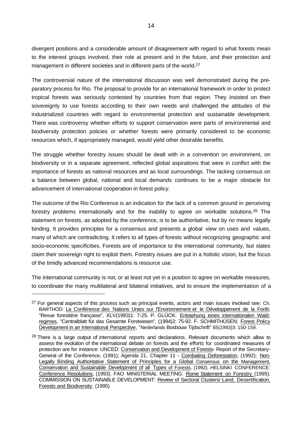divergent positions and a considerable amount of disagreement with regard to what forests mean to the interest groups involved, their role at present and in the future, and their protection and management in different societies and in different parts of the world.<sup>27</sup>

The controversial nature of the international discussion was well demonstrated during the preparatory process for Rio. The proposal to provide for an international framework in order to protect tropical forests was seriously contested by countries from that region. They insisted on their sovereignty to use forests according to their own needs and challenged the attitudes of the industrialized countries with regard to environmental protection and sustainable development. There was controversy whether efforts to support conservation were parts of environmental and biodiversity protection policies or whether forests were primarily considered to be economic resources which, if appropriately managed, would yield other desirable benefits.

The struggle whether forestry issues should be dealt with in a convention on environment, on biodiversity or in a separate agreement, reflected global aspirations that were in conflict with the importance of forests as national resources and as local surroundings. The lacking consensus on a balance between global, national and local demands continues to be a major obstacle for advancement of international cooperation in forest policy.

The outcome of the Rio Conference is an indication for the lack of a common ground in perceiving forestry problems internationally and for the inability to agree on workable solutions.28 The statement on forests, as adopted by the conference, is to be authoritative, but by no means legally binding. It provides principles for a consensus and presents a global view on uses and values, many of which are contradicting. It refers to all types of forests without recognizing geographic and socio-economic specificities. Forests are of importance to the international community, but states claim their sovereign right to exploit them. Forestry issues are put in a holistic vision, but the focus of the timidly advanced recommendations is resource use.

The international community is not, or at least not yet in a position to agree on workable measures, to coordinate the many multilateral and bilateral initiatives, and to ensure the implementation of a

<sup>&</sup>lt;sup>27</sup> For general aspects of this process such as principal events, actors and main issues involved see: Ch. BARTHOD: La Conférence des Nations Unies sur l'Environnement et le Développement de la Forêt, "Revue forestière française", XLV(1993)1: 7-25. P. GLÜCK: Entstehung eines internationalen Waldregimes, "Centralblatt für das Gesamte Forstwesen", (1994)2: 75-92. F. SCHMITHÜSEN: Forest Policy Development in an International Perspective, "Nederlands Bosbouw Tijdschrift" 65(1993)3: 150-159.

<sup>&</sup>lt;sup>28</sup> There is a large output of international reports and declarations. Relevant documents which allow to assess the evolution of the international debate on forests and the efforts for coordinated measures of protection are for instance: UNCED: Conservation and Development of Forests- Report of the Secretary-General of the Conference, (1991); Agenda 21, Chapter 11 - Combating Deforestation, (1992); Non-Legally Binding Authoritative Statement of Principles for a Global Consensus on the Management, Conservation and Sustainable Development of all Types of Forests, (1992). HELSINKI CONFERENCE: Conference Resolutions, (1993). FAO MINISTERIAL MEETING: Rome Statement on Forestry (1995). COMMISSION ON SUSTAINABLE DEVELOPMENT: Review of Sectoral Clusters/ Land, Desertification, Forests and Biodiversity, (1995)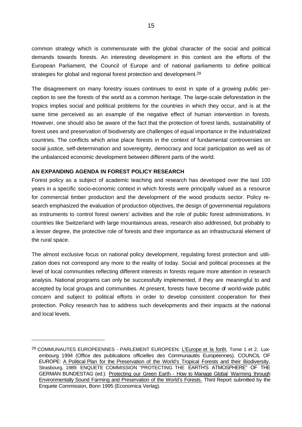common strategy which is commensurate with the global character of the social and political demands towards forests. An interesting development in this context are the efforts of the European Parliament, the Council of Europe and of national parliaments to define political strategies for global and regional forest protection and development.<sup>29</sup>

The disagreement on many forestry issues continues to exist in spite of a growing public perception to see the forests of the world as a common heritage. The large-scale deforestation in the tropics implies social and political problems for the countries in which they occur, and is at the same time perceived as an example of the negative effect of human intervention in forests. However, one should also be aware of the fact that the protection of forest lands, sustainability of forest uses and preservation of biodiversity are challenges of equal importance in the industrialized countries. The conflicts which arise place forests in the context of fundamental controversies on social justice, self-determination and sovereignty, democracy and local participation as well as of the unbalanced economic development between different parts of the world.

### **AN EXPANDING AGENDA IN FOREST POLICY RESEARCH**

l

Forest policy as a subject of academic teaching and research has developed over the last 100 years in a specific socio-economic context in which forests were principally valued as a resource for commercial timber production and the development of the wood products sector. Policy research emphasized the evaluation of production objectives, the design of governmental regulations as instruments to control forest owners' activities and the role of public forest administrations. In countries like Switzerland with large mountainous areas, research also addressed, but probably to a lesser degree, the protective role of forests and their importance as an infrastructural element of the rural space.

The almost exclusive focus on national policy development, regulating forest protection and utilization does not correspond any more to the reality of today. Social and political processes at the level of local communities reflecting different interests in forests require more attention in research analysis. National programs can only be successfully implemented, if they are meaningful to and accepted by local groups and communities. At present, forests have become of world-wide public concern and subject to political efforts in order to develop consistent cooperation for their protection. Policy research has to address such developments and their impacts at the national and local levels.

<sup>&</sup>lt;sup>29</sup> COMMUNAUTES EUROPEENNES - PARLEMENT EUROPEEN: L'Europe et la forêt, Tome 1 et 2, Luxembourg 1994 (Office des publications officielles des Communautés Européennes). COUNCIL OF EUROPE: A Political Plan for the Preservation of the World's Tropical Forests and their Biodiversity, Strasbourg, 1989. ENQUETE COMMISSION "PROTECTING THE EARTH'S ATMOSPHERE" OF THE GERMAN BUNDESTAG (ed.): Protecting our Green Earth - How to Manage Global Warming through Environmentally Sound Farming and Preservation of the World's Forests. Third Report submitted by the Enquete Commission, Bonn 1995 (Economica Verlag).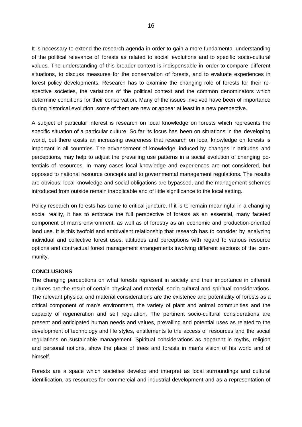It is necessary to extend the research agenda in order to gain a more fundamental understanding of the political relevance of forests as related to social evolutions and to specific socio-cultural values. The understanding of this broader context is indispensable in order to compare different situations, to discuss measures for the conservation of forests, and to evaluate experiences in forest policy developments. Research has to examine the changing role of forests for their respective societies, the variations of the political context and the common denominators which determine conditions for their conservation. Many of the issues involved have been of importance during historical evolution; some of them are new or appear at least in a new perspective.

A subject of particular interest is research on local knowledge on forests which represents the specific situation of a particular culture. So far its focus has been on situations in the developing world, but there exists an increasing awareness that research on local knowledge on forests is important in all countries. The advancement of knowledge, induced by changes in attitudes and perceptions, may help to adjust the prevailing use patterns in a social evolution of changing potentials of resources. In many cases local knowledge and experiences are not considered, but opposed to national resource concepts and to governmental management regulations. The results are obvious: local knowledge and social obligations are bypassed, and the management schemes introduced from outside remain inapplicable and of little significance to the local setting.

Policy research on forests has come to critical juncture. If it is to remain meaningful in a changing social reality, it has to embrace the full perspective of forests as an essential, many faceted component of man's environment, as well as of forestry as an economic and production-oriented land use. It is this twofold and ambivalent relationship that research has to consider by analyzing individual and collective forest uses, attitudes and perceptions with regard to various resource options and contractual forest management arrangements involving different sections of the community.

#### **CONCLUSIONS**

The changing perceptions on what forests represent in society and their importance in different cultures are the result of certain physical and material, socio-cultural and spiritual considerations. The relevant physical and material considerations are the existence and potentiality of forests as a critical component of man's environment, the variety of plant and animal communities and the capacity of regeneration and self regulation. The pertinent socio-cultural considerations are present and anticipated human needs and values, prevailing and potential uses as related to the development of technology and life styles, entitlements to the access of resources and the social regulations on sustainable management. Spiritual considerations as apparent in myths, religion and personal notions, show the place of trees and forests in man's vision of his world and of himself.

Forests are a space which societies develop and interpret as local surroundings and cultural identification, as resources for commercial and industrial development and as a representation of